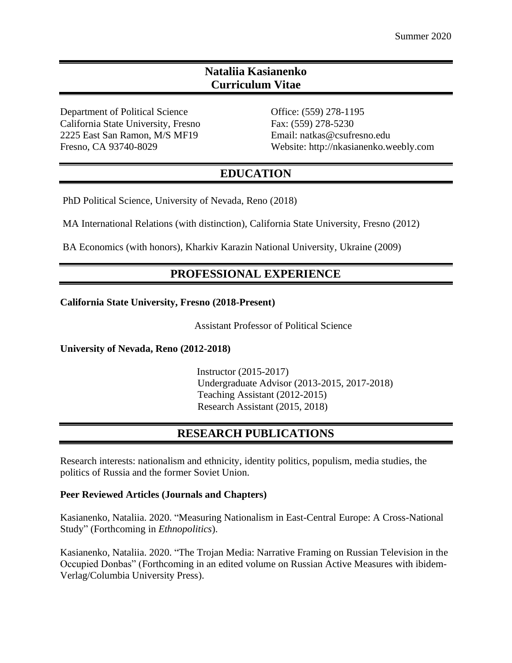# **Nataliia Kasianenko Curriculum Vitae**

Department of Political Science California State University, Fresno 2225 East San Ramon, M/S MF19 Fresno, CA 93740-8029

Office: (559) 278-1195 Fax: (559) 278-5230 Email: natkas@csufresno.edu Website: http://nkasianenko.weebly.com

# **EDUCATION**

PhD Political Science, University of Nevada, Reno (2018)

MA International Relations (with distinction), California State University, Fresno (2012)

BA Economics (with honors), Kharkiv Karazin National University, Ukraine (2009)

#### **PROFESSIONAL EXPERIENCE**

**California State University, Fresno (2018-Present)**

Assistant Professor of Political Science

**University of Nevada, Reno (2012-2018)**

Instructor (2015-2017) Undergraduate Advisor (2013-2015, 2017-2018) Teaching Assistant (2012-2015) Research Assistant (2015, 2018)

#### **RESEARCH PUBLICATIONS**

Research interests: nationalism and ethnicity, identity politics, populism, media studies, the politics of Russia and the former Soviet Union.

#### **Peer Reviewed Articles (Journals and Chapters)**

Kasianenko, Nataliia. 2020. "Measuring Nationalism in East-Central Europe: A Cross-National Study" (Forthcoming in *Ethnopolitics*).

Kasianenko, Nataliia. 2020. "The Trojan Media: Narrative Framing on Russian Television in the Occupied Donbas" (Forthcoming in an edited volume on Russian Active Measures with ibidem-Verlag/Columbia University Press).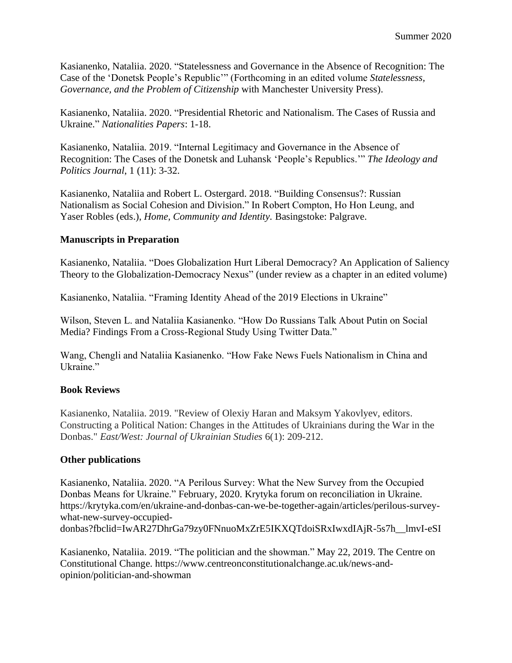Kasianenko, Nataliia. 2020. "Statelessness and Governance in the Absence of Recognition: The Case of the 'Donetsk People's Republic'" (Forthcoming in an edited volume *Statelessness, Governance, and the Problem of Citizenship* with Manchester University Press).

Kasianenko, Nataliia. 2020. "Presidential Rhetoric and Nationalism. The Cases of Russia and Ukraine." *Nationalities Papers*: 1-18.

Kasianenko, Nataliia. 2019. "Internal Legitimacy and Governance in the Absence of Recognition: The Cases of the Donetsk and Luhansk 'People's Republics.'" *The Ideology and Politics Journal*, 1 (11): 3-32.

Kasianenko, Nataliia and Robert L. Ostergard. 2018. "Building Consensus?: Russian Nationalism as Social Cohesion and Division." In Robert Compton, Ho Hon Leung, and Yaser Robles (eds.), *Home, Community and Identity.* Basingstoke: Palgrave.

#### **Manuscripts in Preparation**

Kasianenko, Nataliia. "Does Globalization Hurt Liberal Democracy? An Application of Saliency Theory to the Globalization-Democracy Nexus" (under review as a chapter in an edited volume)

Kasianenko, Nataliia. "Framing Identity Ahead of the 2019 Elections in Ukraine"

Wilson, Steven L. and Nataliia Kasianenko. "How Do Russians Talk About Putin on Social Media? Findings From a Cross-Regional Study Using Twitter Data."

Wang, Chengli and Nataliia Kasianenko. "How Fake News Fuels Nationalism in China and Ukraine."

#### **Book Reviews**

Kasianenko, Nataliia. 2019. "Review of Olexiy Haran and Maksym Yakovlyev, editors. Constructing a Political Nation: Changes in the Attitudes of Ukrainians during the War in the Donbas." *East/West: Journal of Ukrainian Studies* 6(1): 209-212.

#### **Other publications**

Kasianenko, Nataliia. 2020. "A Perilous Survey: What the New Survey from the Occupied Donbas Means for Ukraine." February, 2020. Krytyka forum on reconciliation in Ukraine. https://krytyka.com/en/ukraine-and-donbas-can-we-be-together-again/articles/perilous-surveywhat-new-survey-occupieddonbas?fbclid=IwAR27DhrGa79zy0FNnuoMxZrE5IKXQTdoiSRxIwxdIAjR-5s7h\_\_lmvI-eSI

Kasianenko, Nataliia. 2019. "The politician and the showman." May 22, 2019. The Centre on Constitutional Change. https://www.centreonconstitutionalchange.ac.uk/news-andopinion/politician-and-showman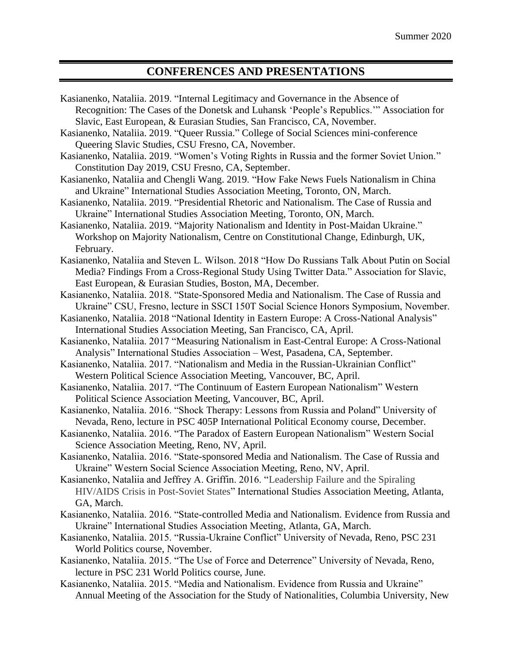#### **CONFERENCES AND PRESENTATIONS**

- Kasianenko, Nataliia. 2019. "Internal Legitimacy and Governance in the Absence of Recognition: The Cases of the Donetsk and Luhansk 'People's Republics.'" Association for Slavic, East European, & Eurasian Studies, San Francisco, CA, November.
- Kasianenko, Nataliia. 2019. "Queer Russia." College of Social Sciences mini-conference Queering Slavic Studies, CSU Fresno, CA, November.
- Kasianenko, Nataliia. 2019. "Women's Voting Rights in Russia and the former Soviet Union." Constitution Day 2019, CSU Fresno, CA, September.
- Kasianenko, Nataliia and Chengli Wang. 2019. "How Fake News Fuels Nationalism in China and Ukraine" International Studies Association Meeting, Toronto, ON, March.
- Kasianenko, Nataliia. 2019. "Presidential Rhetoric and Nationalism. The Case of Russia and Ukraine" International Studies Association Meeting, Toronto, ON, March.
- Kasianenko, Nataliia. 2019. "Majority Nationalism and Identity in Post-Maidan Ukraine." Workshop on Majority Nationalism, Centre on Constitutional Change, Edinburgh, UK, February.
- Kasianenko, Nataliia and Steven L. Wilson. 2018 "How Do Russians Talk About Putin on Social Media? Findings From a Cross-Regional Study Using Twitter Data." Association for Slavic, East European, & Eurasian Studies, Boston, MA, December.
- Kasianenko, Nataliia. 2018. "State-Sponsored Media and Nationalism. The Case of Russia and Ukraine" CSU, Fresno, lecture in SSCI 150T Social Science Honors Symposium, November.
- Kasianenko, Nataliia. 2018 "National Identity in Eastern Europe: A Cross-National Analysis" International Studies Association Meeting, San Francisco, CA, April.
- Kasianenko, Nataliia. 2017 "Measuring Nationalism in East-Central Europe: A Cross-National Analysis" International Studies Association – West, Pasadena, CA, September.
- Kasianenko, Nataliia. 2017. "Nationalism and Media in the Russian-Ukrainian Conflict" Western Political Science Association Meeting, Vancouver, BC, April.
- Kasianenko, Nataliia. 2017. "The Continuum of Eastern European Nationalism" Western Political Science Association Meeting, Vancouver, BC, April.
- Kasianenko, Nataliia. 2016. "Shock Therapy: Lessons from Russia and Poland" University of Nevada, Reno, lecture in PSC 405P International Political Economy course, December.
- Kasianenko, Nataliia. 2016. "The Paradox of Eastern European Nationalism" Western Social Science Association Meeting, Reno, NV, April.
- Kasianenko, Nataliia. 2016. "State-sponsored Media and Nationalism. The Case of Russia and Ukraine" Western Social Science Association Meeting, Reno, NV, April.
- Kasianenko, Nataliia and Jeffrey A. Griffin. 2016. "Leadership Failure and the Spiraling HIV/AIDS Crisis in Post-Soviet States" International Studies Association Meeting, Atlanta, GA, March.
- Kasianenko, Nataliia. 2016. "State-controlled Media and Nationalism. Evidence from Russia and Ukraine" International Studies Association Meeting, Atlanta, GA, March.
- Kasianenko, Nataliia. 2015. "Russia-Ukraine Conflict" University of Nevada, Reno, PSC 231 World Politics course, November.
- Kasianenko, Nataliia. 2015. "The Use of Force and Deterrence" University of Nevada, Reno, lecture in PSC 231 World Politics course, June.
- Kasianenko, Nataliia. 2015. "Media and Nationalism. Evidence from Russia and Ukraine" Annual Meeting of the Association for the Study of Nationalities, Columbia University, New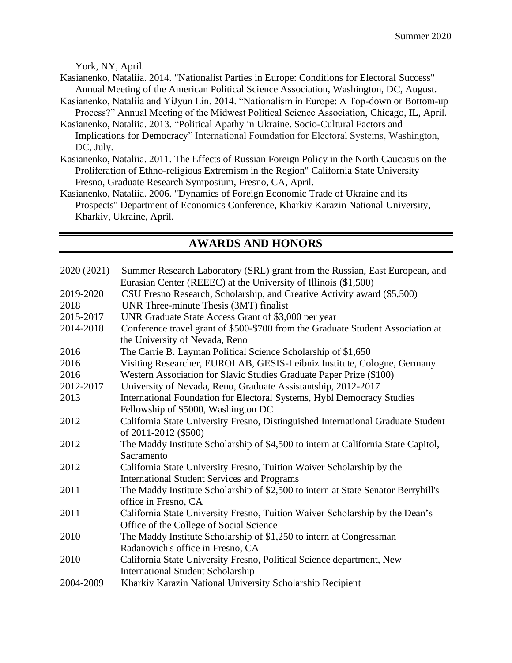York, NY, April.

- Kasianenko, Nataliia. 2014. "Nationalist Parties in Europe: Conditions for Electoral Success" Annual Meeting of the American Political Science Association, Washington, DC, August.
- Kasianenko, Nataliia and YiJyun Lin. 2014. "Nationalism in Europe: A Top-down or Bottom-up Process?" Annual Meeting of the Midwest Political Science Association, Chicago, IL, April.
- Kasianenko, Nataliia. 2013. "Political Apathy in Ukraine. Socio-Cultural Factors and Implications for Democracy" International Foundation for Electoral Systems, Washington, DC, July.
- Kasianenko, Nataliia. 2011. The Effects of Russian Foreign Policy in the North Caucasus on the Proliferation of Ethno-religious Extremism in the Region" California State University Fresno, Graduate Research Symposium, Fresno, CA, April.

Kasianenko, Nataliia. 2006. "Dynamics of Foreign Economic Trade of Ukraine and its Prospects" Department of Economics Conference, Kharkiv Karazin National University, Kharkiv, Ukraine, April.

# **AWARDS AND HONORS**

| 2020 (2021) | Summer Research Laboratory (SRL) grant from the Russian, East European, and                              |
|-------------|----------------------------------------------------------------------------------------------------------|
|             | Eurasian Center (REEEC) at the University of Illinois (\$1,500)                                          |
| 2019-2020   | CSU Fresno Research, Scholarship, and Creative Activity award (\$5,500)                                  |
| 2018        | UNR Three-minute Thesis (3MT) finalist                                                                   |
| 2015-2017   | UNR Graduate State Access Grant of \$3,000 per year                                                      |
| 2014-2018   | Conference travel grant of \$500-\$700 from the Graduate Student Association at                          |
|             | the University of Nevada, Reno                                                                           |
| 2016        | The Carrie B. Layman Political Science Scholarship of \$1,650                                            |
| 2016        | Visiting Researcher, EUROLAB, GESIS-Leibniz Institute, Cologne, Germany                                  |
| 2016        | Western Association for Slavic Studies Graduate Paper Prize (\$100)                                      |
| 2012-2017   | University of Nevada, Reno, Graduate Assistantship, 2012-2017                                            |
| 2013        | International Foundation for Electoral Systems, Hybl Democracy Studies                                   |
|             | Fellowship of \$5000, Washington DC                                                                      |
| 2012        | California State University Fresno, Distinguished International Graduate Student<br>of 2011-2012 (\$500) |
| 2012        | The Maddy Institute Scholarship of \$4,500 to intern at California State Capitol,                        |
|             | Sacramento                                                                                               |
| 2012        | California State University Fresno, Tuition Waiver Scholarship by the                                    |
|             | <b>International Student Services and Programs</b>                                                       |
| 2011        | The Maddy Institute Scholarship of \$2,500 to intern at State Senator Berryhill's                        |
|             | office in Fresno, CA                                                                                     |
| 2011        | California State University Fresno, Tuition Waiver Scholarship by the Dean's                             |
|             | Office of the College of Social Science                                                                  |
| 2010        | The Maddy Institute Scholarship of \$1,250 to intern at Congressman                                      |
|             | Radanovich's office in Fresno, CA                                                                        |
| 2010        | California State University Fresno, Political Science department, New                                    |
|             | <b>International Student Scholarship</b>                                                                 |
| 2004-2009   | Kharkiv Karazin National University Scholarship Recipient                                                |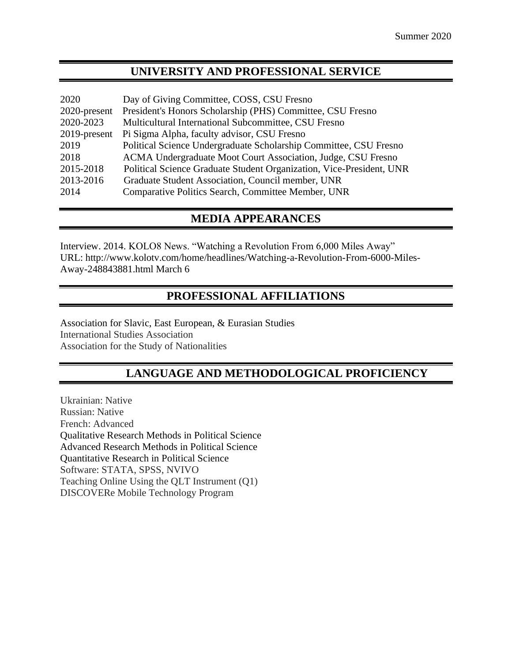### **UNIVERSITY AND PROFESSIONAL SERVICE**

| Day of Giving Committee, COSS, CSU Fresno                            |
|----------------------------------------------------------------------|
| President's Honors Scholarship (PHS) Committee, CSU Fresno           |
| Multicultural International Subcommittee, CSU Fresno                 |
| Pi Sigma Alpha, faculty advisor, CSU Fresno                          |
| Political Science Undergraduate Scholarship Committee, CSU Fresno    |
| ACMA Undergraduate Moot Court Association, Judge, CSU Fresno         |
| Political Science Graduate Student Organization, Vice-President, UNR |
| Graduate Student Association, Council member, UNR                    |
| Comparative Politics Search, Committee Member, UNR                   |
|                                                                      |

# **MEDIA APPEARANCES**

Interview. 2014. KOLO8 News. "Watching a Revolution From 6,000 Miles Away" URL: http://www.kolotv.com/home/headlines/Watching-a-Revolution-From-6000-Miles-Away-248843881.html March 6

# **PROFESSIONAL AFFILIATIONS**

Association for Slavic, East European, & Eurasian Studies International Studies Association Association for the Study of Nationalities

# **LANGUAGE AND METHODOLOGICAL PROFICIENCY**

Ukrainian: Native Russian: Native French: Advanced Qualitative Research Methods in Political Science Advanced Research Methods in Political Science Quantitative Research in Political Science Software: STATA, SPSS, NVIVO Teaching Online Using the QLT Instrument (Q1) DISCOVERe Mobile Technology Program